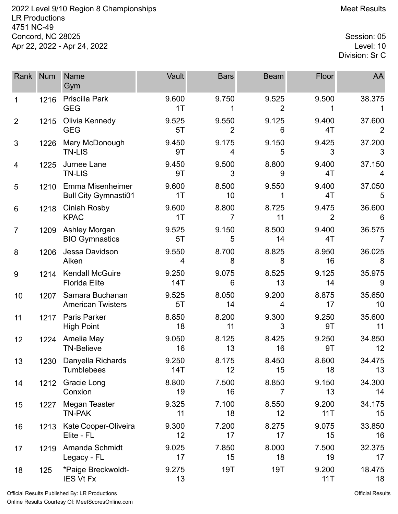2022 Level 9/10 Region 8 Championships **Meet Results** Meet Results LR Productions 4751 NC-49 Concord, NC 28025 Session: 05<br>Apr 22, 2022 - Apr 24, 2022 Apr 22, 2022 - Apr 24, 2022

Division: Sr C

| Rank           | <b>Num</b> | Name<br>Gym                                     | Vault                   | <b>Bars</b>             | <b>Beam</b> | Floor        | AA           |
|----------------|------------|-------------------------------------------------|-------------------------|-------------------------|-------------|--------------|--------------|
| 1              | 1216       | Priscilla Park<br><b>GEG</b>                    | 9.600<br>1 <sub>T</sub> | 9.750                   | 9.525<br>2  | 9.500        | 38.375       |
| $\overline{2}$ | 1215       | Olivia Kennedy<br><b>GEG</b>                    | 9.525<br>5T             | 9.550<br>$\overline{2}$ | 9.125<br>6  | 9.400<br>4T  | 37.600<br>2  |
| 3              | 1226       | Mary McDonough<br><b>TN-LIS</b>                 | 9.450<br>9T             | 9.175<br>4              | 9.150<br>5  | 9.425<br>3   | 37.200<br>3  |
| 4              | 1225       | Jurnee Lane<br><b>TN-LIS</b>                    | 9.450<br>9T             | 9.500<br>3              | 8.800<br>9  | 9.400<br>4T  | 37.150<br>4  |
| 5              | 1210       | Emma Misenheimer<br><b>Bull City Gymnasti01</b> | 9.600<br>1T             | 8.500<br>10             | 9.550<br>1  | 9.400<br>4T  | 37.050<br>5  |
| 6              | 1218       | <b>Ciniah Rosby</b><br><b>KPAC</b>              | 9.600<br>1T             | 8.800<br>7              | 8.725<br>11 | 9.475<br>2   | 36.600<br>6  |
| $\overline{7}$ | 1209       | Ashley Morgan<br><b>BIO Gymnastics</b>          | 9.525<br>5T             | 9.150<br>5              | 8.500<br>14 | 9.400<br>4T  | 36.575<br>7  |
| 8              | 1206       | Jessa Davidson<br>Aiken                         | 9.550<br>4              | 8.700<br>8              | 8.825<br>8  | 8.950<br>16  | 36.025<br>8  |
| 9              | 1214       | <b>Kendall McGuire</b><br><b>Florida Elite</b>  | 9.250<br>14T            | 9.075<br>6              | 8.525<br>13 | 9.125<br>14  | 35.975<br>9  |
| 10             | 1207       | Samara Buchanan<br><b>American Twisters</b>     | 9.525<br>5T             | 8.050<br>14             | 9.200<br>4  | 8.875<br>17  | 35.650<br>10 |
| 11             | 1217       | <b>Paris Parker</b><br><b>High Point</b>        | 8.850<br>18             | 8.200<br>11             | 9.300<br>3  | 9.250<br>9T  | 35.600<br>11 |
| 12             | 1224       | Amelia May<br><b>TN-Believe</b>                 | 9.050<br>16             | 8.125<br>13             | 8.425<br>16 | 9.250<br>9T  | 34.850<br>12 |
| 13             | 1230       | Danyella Richards<br>Tumblebees                 | 9.250<br>14T            | 8.175<br>12             | 8.450<br>15 | 8.600<br>18  | 34.475<br>13 |
| 14             | 1212       | Gracie Long<br>Conxion                          | 8.800<br>19             | 7.500<br>16             | 8.850<br>7  | 9.150<br>13  | 34.300<br>14 |
| 15             | 1227       | Megan Teaster<br><b>TN-PAK</b>                  | 9.325<br>11             | 7.100<br>18             | 8.550<br>12 | 9.200<br>11T | 34.175<br>15 |
| 16             | 1213       | Kate Cooper-Oliveira<br>Elite - FL              | 9.300<br>12             | 7.200<br>17             | 8.275<br>17 | 9.075<br>15  | 33.850<br>16 |
| 17             | 1219       | Amanda Schmidt<br>Legacy - FL                   | 9.025<br>17             | 7.850<br>15             | 8.000<br>18 | 7.500<br>19  | 32.375<br>17 |
| 18             | 125        | *Paige Breckwoldt-<br><b>IES Vt Fx</b>          | 9.275<br>13             | 19T                     | 19T         | 9.200<br>11T | 18.475<br>18 |